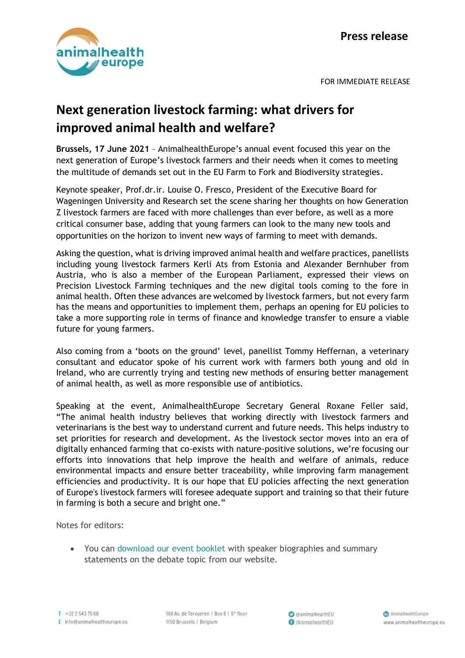

FOR IMMEDIATE RELEASE

## **Next generation livestock farming: what drivers for improved animal health and welfare?**

**Brussels, 17 June 2021** – AnimalhealthEurope's annual event focused this year on the next generation of Europe's livestock farmers and their needs when it comes to meeting the multitude of demands set out in the EU Farm to Fork and Biodiversity strategies.

Keynote speaker, Prof.dr.ir. Louise O. Fresco, President of the Executive Board for Wageningen University and Research set the scene sharing her thoughts on how Generation Z livestock farmers are faced with more challenges than ever before, as well as a more critical consumer base, adding that young farmers can look to the many new tools and opportunities on the horizon to invent new ways of farming to meet with demands.

Asking the question, what is driving improved animal health and welfare practices, panellists including young livestock farmers Kerli Ats from Estonia and Alexander Bernhuber from Austria, who is also a member of the European Parliament, expressed their views on Precision Livestock Farming techniques and the new digital tools coming to the fore in animal health. Often these advances are welcomed by livestock farmers, but not every farm has the means and opportunities to implement them, perhaps an opening for EU policies to take a more supporting role in terms of finance and knowledge transfer to ensure a viable future for young farmers.

Also coming from a 'boots on the ground' level, panellist Tommy Heffernan, a veterinary consultant and educator spoke of his current work with farmers both young and old in Ireland, who are currently trying and testing new methods of ensuring better management of animal health, as well as more responsible use of antibiotics.

Speaking at the event, AnimalhealthEurope Secretary General Roxane Feller said, "The animal health industry believes that working directly with livestock farmers and veterinarians is the best way to understand current and future needs. This helps industry to set priorities for research and development. As the livestock sector moves into an era of digitally enhanced farming that co-exists with nature-positive solutions, we're focusing our efforts into innovations that help improve the health and welfare of animals, reduce environmental impacts and ensure better traceability, while improving farm management efficiencies and productivity. It is our hope that EU policies affecting the next generation of Europe's livestock farmers will foresee adequate support and training so that their future in farming is both a secure and bright one."

Notes for editors:

• You can [download](https://www.animalhealtheurope.eu/component/attachments/attachments.html?id=337) our event booklet with speaker biographies and summary statements on the debate topic from our website.